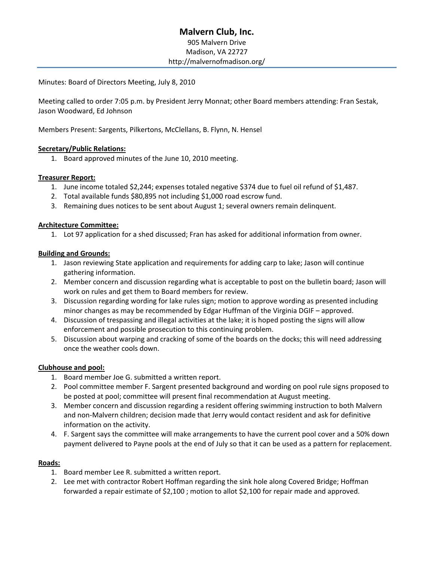# **Malvern Club, Inc.** 905 Malvern Drive Madison, VA 22727 http://malvernofmadison.org/

Minutes: Board of Directors Meeting, July 8, 2010

Meeting called to order 7:05 p.m. by President Jerry Monnat; other Board members attending: Fran Sestak, Jason Woodward, Ed Johnson

Members Present: Sargents, Pilkertons, McClellans, B. Flynn, N. Hensel

## **Secretary/Public Relations:**

1. Board approved minutes of the June 10, 2010 meeting.

### **Treasurer Report:**

- 1. June income totaled \$2,244; expenses totaled negative \$374 due to fuel oil refund of \$1,487.
- 2. Total available funds \$80,895 not including \$1,000 road escrow fund.
- 3. Remaining dues notices to be sent about August 1; several owners remain delinquent.

### **Architecture Committee:**

1. Lot 97 application for a shed discussed; Fran has asked for additional information from owner.

### **Building and Grounds:**

- 1. Jason reviewing State application and requirements for adding carp to lake; Jason will continue gathering information.
- 2. Member concern and discussion regarding what is acceptable to post on the bulletin board; Jason will work on rules and get them to Board members for review.
- 3. Discussion regarding wording for lake rules sign; motion to approve wording as presented including minor changes as may be recommended by Edgar Huffman of the Virginia DGIF – approved.
- 4. Discussion of trespassing and illegal activities at the lake; it is hoped posting the signs will allow enforcement and possible prosecution to this continuing problem.
- 5. Discussion about warping and cracking of some of the boards on the docks; this will need addressing once the weather cools down.

## **Clubhouse and pool:**

- 1. Board member Joe G. submitted a written report.
- 2. Pool committee member F. Sargent presented background and wording on pool rule signs proposed to be posted at pool; committee will present final recommendation at August meeting.
- 3. Member concern and discussion regarding a resident offering swimming instruction to both Malvern and non‐Malvern children; decision made that Jerry would contact resident and ask for definitive information on the activity.
- 4. F. Sargent says the committee will make arrangements to have the current pool cover and a 50% down payment delivered to Payne pools at the end of July so that it can be used as a pattern for replacement.

#### **Roads:**

- 1. Board member Lee R. submitted a written report.
- 2. Lee met with contractor Robert Hoffman regarding the sink hole along Covered Bridge; Hoffman forwarded a repair estimate of \$2,100 ; motion to allot \$2,100 for repair made and approved.